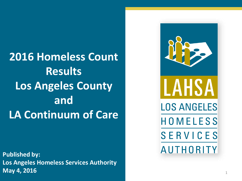### **2016 Homeless Count Results Los Angeles County and LA Continuum of Care**

**Published by: Los Angeles Homeless Services Authority May 4, 2016** <sup>1</sup>

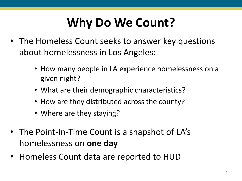## **Why Do We Count?**

- The Homeless Count seeks to answer key questions about homelessness in Los Angeles:
	- How many people in LA experience homelessness on a given night?
	- What are their demographic characteristics?
	- How are they distributed across the county?
	- Where are they staying?
- The Point-In-Time Count is a snapshot of LA's homelessness on **one day**
- Homeless Count data are reported to HUD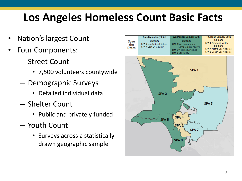### **Los Angeles Homeless Count Basic Facts**

- Nation's largest Count
- Four Components:
	- Street Count
		- 7,500 volunteers countywide
	- Demographic Surveys
		- Detailed individual data
	- Shelter Count
		- Public and privately funded
	- Youth Count
		- Surveys across a statistically drawn geographic sample

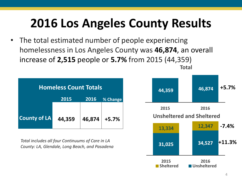## **2016 Los Angeles County Results**

• The total estimated number of people experiencing homelessness in Los Angeles County was **46,874**, an overall increase of **2,515** people or **5.7%** from 2015 (44,359) **Total**

| <b>Homeless Count Totals</b> |        |        |          |
|------------------------------|--------|--------|----------|
|                              | 2015   | 2016   | % Change |
|                              |        |        |          |
| <b>County of LA</b>          | 44,359 | 46,874 | $+5.7%$  |

*Total includes all four Continuums of Care in LA County: LA, Glendale, Long Beach, and Pasadena* 

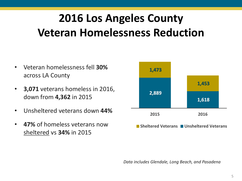### **2016 Los Angeles County Veteran Homelessness Reduction**

- Veteran homelessness fell **30%**  across LA County
- **3,071** veterans homeless in 2016, down from **4,362** in 2015
- Unsheltered veterans down **44%**
- **47%** of homeless veterans now sheltered vs **34%** in 2015



*Data includes Glendale, Long Beach, and Pasadena*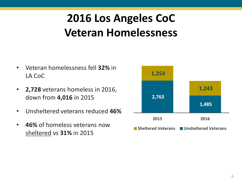### **2016 Los Angeles CoC Veteran Homelessness**

- Veteran homelessness fell **32%** in LA CoC
- **2,728** veterans homeless in 2016, down from **4,016** in 2015
- Unsheltered veterans reduced **46%**
- **46%** of homeless veterans now sheltered vs **31%** in 2015

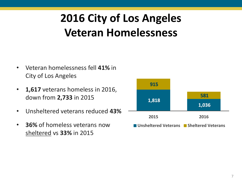### **2016 City of Los Angeles Veteran Homelessness**

- Veteran homelessness fell **41%** in City of Los Angeles
- **1,617** veterans homeless in 2016, down from **2,733** in 2015
- Unsheltered veterans reduced **43%**
- **36%** of homeless veterans now sheltered vs **33%** in 2015

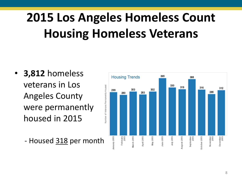# **2015 Los Angeles Homeless Count Housing Homeless Veterans**

- **3,812** homeless veterans in Los Angeles County were permanently housed in 2015
	- Housed 318 per month

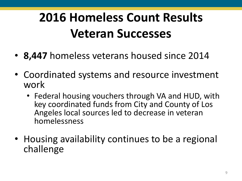# **2016 Homeless Count Results Veteran Successes**

- **8,447** homeless veterans housed since 2014
- Coordinated systems and resource investment work
	- Federal housing vouchers through VA and HUD, with key coordinated funds from City and County of Los Angeles local sources led to decrease in veteran homelessness
- Housing availability continues to be a regional challenge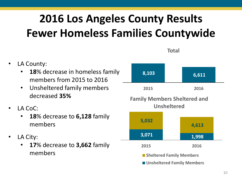### **2016 Los Angeles County Results Fewer Homeless Families Countywide**

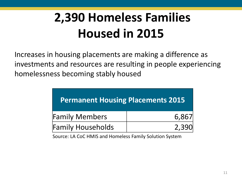# **2,390 Homeless Families Housed in 2015**

Increases in housing placements are making a difference as investments and resources are resulting in people experiencing homelessness becoming stably housed

| <b>Permanent Housing Placements 2015</b> |       |  |  |
|------------------------------------------|-------|--|--|
| <b>Family Members</b>                    | 6,867 |  |  |
| <b>Family Households</b>                 | 2,390 |  |  |

Source: LA CoC HMIS and Homeless Family Solution System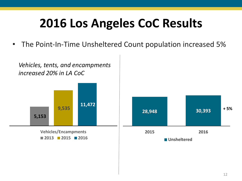• The Point-In-Time Unsheltered Count population increased 5%

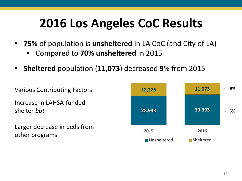- **75%** of population is **unsheltered** in LA CoC (and City of LA)
	- Compared to **70% unsheltered** in 2015
- **Sheltered** population (**11,073**) decreased **9**% from 2015

Various Contributing Factors: Increase in LAHSA-funded shelter *but* Larger decrease in beds from other programs

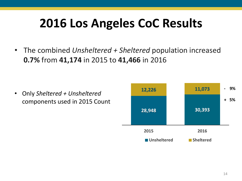• The combined *Unsheltered + Sheltered* population increased **0.7%** from **41,174** in 2015 to **41,466** in 2016

• Only *Sheltered + Unsheltered*  components used in 2015 Count

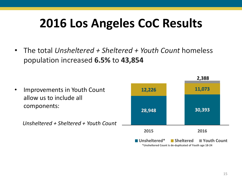• The total *Unsheltered + Sheltered + Youth Count* homeless population increased **6.5%** to **43,854**



**<sup>\*</sup>Unsheltered Count is de-duplicated of Youth age 18-24**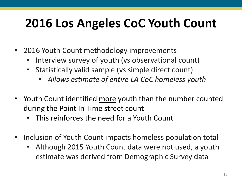# **2016 Los Angeles CoC Youth Count**

- 2016 Youth Count methodology improvements
	- Interview survey of youth (vs observational count)
	- Statistically valid sample (vs simple direct count)
		- *Allows estimate of entire LA CoC homeless youth*
- Youth Count identified more youth than the number counted during the Point In Time street count
	- This reinforces the need for a Youth Count
- Inclusion of Youth Count impacts homeless population total
	- Although 2015 Youth Count data were not used, a youth estimate was derived from Demographic Survey data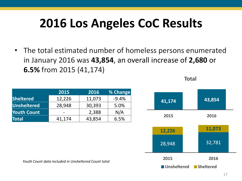• The total estimated number of homeless persons enumerated in January 2016 was **43,854**, an overall increase of **2,680** or **6.5%** from 2015 (41,174)

|                    | 2015   | 2016   | % Change |
|--------------------|--------|--------|----------|
| Sheltered          | 12,226 | 11,073 | $-9.4%$  |
| <b>Unsheltered</b> | 28,948 | 30,393 | 5.0%     |
| <b>Youth Count</b> |        | 2,388  | N/A      |
| <b>Total</b>       | 41,174 | 43,854 | 6.5%     |



**Total**

*Youth Count data included in Unsheltered Count total*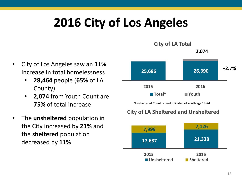## **2016 City of Los Angeles**

**2,074 City of LA Total**

- City of Los Angeles saw an **11%**  increase in total homelessness
	- **28,464** people (**65%** of LA County)
	- **2,074** from Youth Count are **75%** of total increase
- The **unsheltered** population in the City increased by **21%** and the **sheltered** population decreased by **11%**



\*Unsheltered Count is de-duplicated of Youth age 18-24

#### **City of LA Sheltered and Unsheltered**

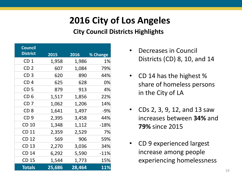### **2016 City of Los Angeles**

#### **City Council Districts Highlights**

| <b>Council</b>  |        |        |          |
|-----------------|--------|--------|----------|
| <b>District</b> | 2015   | 2016   | % Change |
| CD <sub>1</sub> | 1,958  | 1,986  | 1%       |
| CD <sub>2</sub> | 607    | 1,084  | 79%      |
| CD <sub>3</sub> | 620    | 890    | 44%      |
| CD <sub>4</sub> | 625    | 628    | 0%       |
| CD <sub>5</sub> | 879    | 913    | 4%       |
| CD <sub>6</sub> | 1,517  | 1,856  | 22%      |
| CD <sub>7</sub> | 1,062  | 1,206  | 14%      |
| CD <sub>8</sub> | 1,641  | 1,497  | -9%      |
| CD <sub>9</sub> | 2,395  | 3,458  | 44%      |
| <b>CD 10</b>    | 1,348  | 1,112  | $-18%$   |
| <b>CD 11</b>    | 2,359  | 2,529  | 7%       |
| CD 12           | 569    | 906    | 59%      |
| <b>CD 13</b>    | 2,270  | 3,036  | 34%      |
| <b>CD 14</b>    | 6,292  | 5,590  | $-11\%$  |
| <b>CD 15</b>    | 1,544  | 1,773  | 15%      |
| <b>Totals</b>   | 25,686 | 28,464 | 11%      |

- Decreases in Council Districts (CD) 8, 10, and 14
- CD 14 has the highest % share of homeless persons in the City of LA
- CDs 2, 3, 9, 12, and 13 saw increases between **34%** and **79%** since 2015
- CD 9 experienced largest increase among people experiencing homelessness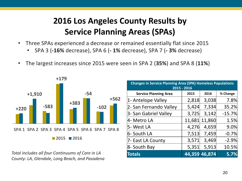### **2016 Los Angeles County Results by Service Planning Areas (SPAs)**

- Three SPAs experienced a decrease or remained essentially flat since 2015
	- SPA 3 (**-16%** decrease), SPA 6 (**- 1%** decrease), SPA 7 (**- 3%** decrease)
- The largest increases since 2015 were seen in SPA 2 (**35%**) and SPA 8 (**11%**)



**Total includes all four Continuums of Care in LA** *County: LA, Glendale, Long Beach, and Pasadena* 

| <b>Changes in Service Planning Area (SPA) Homeless Populations</b><br>2015 - 2016 |        |        |          |
|-----------------------------------------------------------------------------------|--------|--------|----------|
| <b>Service Planning Area</b>                                                      | 2015   | 2016   | % Change |
| 1- Antelope Valley                                                                | 2,818  | 3,038  | 7.8%     |
| 2- San Fernando Valley                                                            | 5,424  | 7,334  | 35.2%    |
| 3- San Gabriel Valley                                                             | 3,725  | 3,142  | $-15.7%$ |
| 4- Metro LA                                                                       | 11,681 | 11,860 | 1.5%     |
| 5- West LA                                                                        | 4,276  | 4,659  | 9.0%     |
| 6- South LA                                                                       | 7,513  | 7,459  | $-0.7%$  |
| 7- East LA County                                                                 | 3,571  | 3,469  | $-2.9%$  |
| 8- South Bay                                                                      | 5,351  | 5,913  | 10.5%    |
| <b>Totals</b>                                                                     | 44,359 | 46,874 | 5.7%     |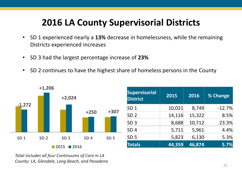### **2016 LA County Supervisorial Districts**

- SD 1 experienced nearly a **13%** decrease in homelessness, while the remaining Districts experienced increases
- SD 3 had the largest percentage increase of **23%**
- SD 2 continues to have the highest share of homeless persons in the County



| <b>Supervisorial</b><br><b>District</b> | 2015   | 2016   | % Change |
|-----------------------------------------|--------|--------|----------|
| SD <sub>1</sub>                         | 10,021 | 8,749  | $-12.7%$ |
| SD <sub>2</sub>                         | 14,116 | 15,322 | 8.5%     |
| SD <sub>3</sub>                         | 8,688  | 10,712 | 23.3%    |
| SD <sub>4</sub>                         | 5,711  | 5,961  | 4.4%     |
| SD <sub>5</sub>                         | 5,823  | 6,130  | 5.3%     |
| <b>Totals</b>                           | 44,359 | 46,874 | 5.7%     |

*Total includes all four Continuums of Care in LA County: LA, Glendale, Long Beach, and Pasadena*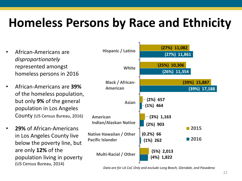## **Homeless Persons by Race and Ethnicity**

- African-Americans are *disproportionately* represented amongst homeless persons in 2016
- African-Americans are **39%** of the homeless population, but only **9%** of the general population in Los Angeles County (US Census Bureau, 2016)
- **29%** of African-Americans in Los Angeles County live below the poverty line, but are only **12%** of the population living in poverty (US Census Bureau, 2014)



*Data are for LA CoC Only and exclude Long Beach, Glendale, and Pasadena*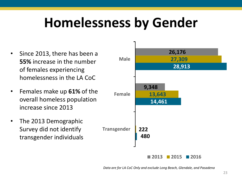# **Homelessness by Gender**

- Since 2013, there has been a **55%** increase in the number of females experiencing homelessness in the LA CoC
- Females make up **61%** of the overall homeless population increase since 2013
- The 2013 Demographic Survey did not identify transgender individuals



*Data are for LA CoC Only and exclude Long Beach, Glendale, and Pasadena*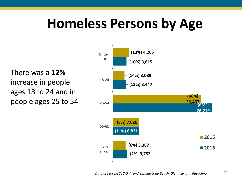# **Homeless Persons by Age**

There was a **12%**  increase in people ages 18 to 24 and in people ages 25 to 54

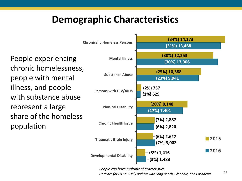### **Demographic Characteristics**

People experiencing chronic homelessness, people with mental illness, and people with substance abuse represent a large share of the homeless population



*People can have multiple characteristics* 

*Data are for LA CoC Only and exclude Long Beach, Glendale, and Pasadena*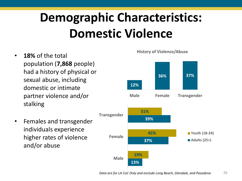# **Demographic Characteristics: Domestic Violence**

- **18%** of the total population (**7,868** people) had a history of physical or sexual abuse, including domestic or intimate partner violence and/or stalking
- Females and transgender individuals experience higher rates of violence and/or abuse

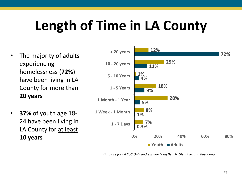# **Length of Time in LA County**

- The majority of adults experiencing homelessness (**72%**) have been living in LA County for more than **20 years**
- **37%** of youth age 18- 24 have been living in LA County for at least **10 years**



*Data are for LA CoC Only and exclude Long Beach, Glendale, and Pasadena*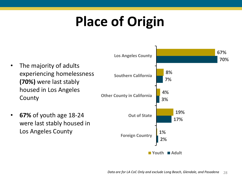# **Place of Origin**

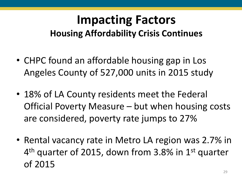### **Impacting Factors Housing Affordability Crisis Continues**

- CHPC found an affordable housing gap in Los Angeles County of 527,000 units in 2015 study
- 18% of LA County residents meet the Federal Official Poverty Measure – but when housing costs are considered, poverty rate jumps to 27%
- Rental vacancy rate in Metro LA region was 2.7% in 4<sup>th</sup> quarter of 2015, down from 3.8% in 1<sup>st</sup> quarter of 2015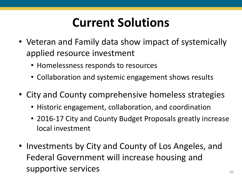### **Current Solutions**

- Veteran and Family data show impact of systemically applied resource investment
	- Homelessness responds to resources
	- Collaboration and systemic engagement shows results
- City and County comprehensive homeless strategies
	- Historic engagement, collaboration, and coordination
	- 2016-17 City and County Budget Proposals greatly increase local investment
- Investments by City and County of Los Angeles, and Federal Government will increase housing and supportive services 30